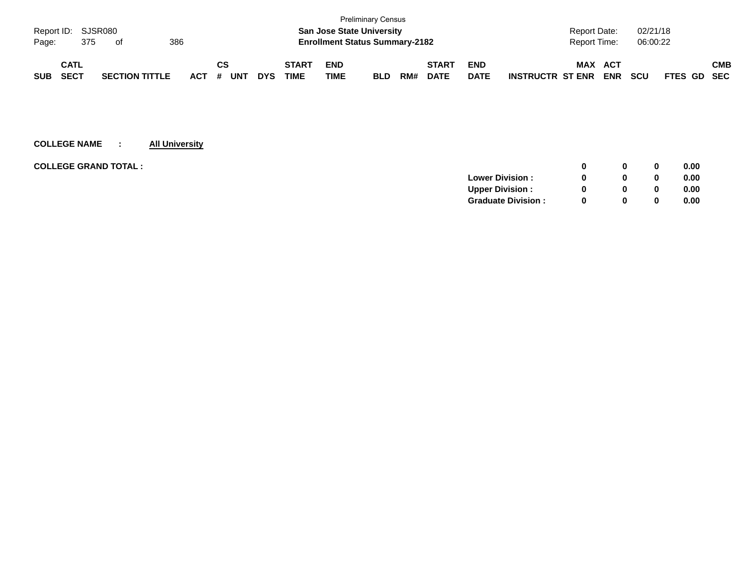|            |                    |     |                       |     |     |    |            |            |              |                                       | <b>Preliminary Census</b> |     |              |             |                         |                     |            |            |             |     |
|------------|--------------------|-----|-----------------------|-----|-----|----|------------|------------|--------------|---------------------------------------|---------------------------|-----|--------------|-------------|-------------------------|---------------------|------------|------------|-------------|-----|
|            | Report ID: SJSR080 |     |                       |     |     |    |            |            |              | <b>San Jose State University</b>      |                           |     |              |             |                         | <b>Report Date:</b> |            | 02/21/18   |             |     |
| Page:      |                    | 375 | of                    | 386 |     |    |            |            |              | <b>Enrollment Status Summary-2182</b> |                           |     |              |             |                         | <b>Report Time:</b> |            | 06:00:22   |             |     |
|            |                    |     |                       |     |     |    |            |            |              |                                       |                           |     |              |             |                         |                     |            |            |             |     |
|            | <b>CATL</b>        |     |                       |     |     | СS |            |            | <b>START</b> | <b>END</b>                            |                           |     | <b>START</b> | <b>END</b>  |                         | <b>MAX</b>          | <b>ACT</b> |            |             | СМВ |
| <b>SUB</b> | <b>SECT</b>        |     | <b>SECTION TITTLE</b> |     | ACT | #  | <b>UNT</b> | <b>DYS</b> | TIME         | TIME                                  | <b>BLD</b>                | RM# | <b>DATE</b>  | <b>DATE</b> | <b>INSTRUCTR ST ENR</b> |                     | <b>ENR</b> | <b>SCU</b> | FTES GD SEC |     |

| <b>COLLEGE GRAND TOTAL :</b> |                           | 0            | $\bf{0}$ | 0.00 |
|------------------------------|---------------------------|--------------|----------|------|
|                              | <b>Lower Division:</b>    | <sup>0</sup> | 0        | 0.00 |
|                              | <b>Upper Division:</b>    | <sup>0</sup> | 0        | 0.00 |
|                              | <b>Graduate Division:</b> | <sup>0</sup> | 0        | 0.00 |
|                              |                           |              |          |      |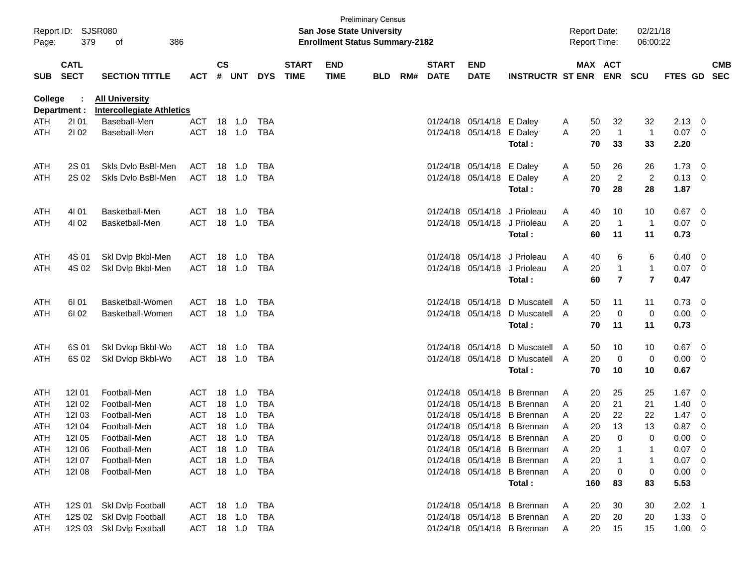| Report ID:<br>Page: | 379                        | <b>SJSR080</b><br>386<br>of                               |                |           |         |            |                             | <b>San Jose State University</b><br><b>Enrollment Status Summary-2182</b> | <b>Preliminary Census</b> |     |                             |                           |                                                            |          | <b>Report Date:</b><br><b>Report Time:</b> | 02/21/18<br>06:00:22 |                           |     |                          |
|---------------------|----------------------------|-----------------------------------------------------------|----------------|-----------|---------|------------|-----------------------------|---------------------------------------------------------------------------|---------------------------|-----|-----------------------------|---------------------------|------------------------------------------------------------|----------|--------------------------------------------|----------------------|---------------------------|-----|--------------------------|
| <b>SUB</b>          | <b>CATL</b><br><b>SECT</b> | <b>SECTION TITTLE</b>                                     | <b>ACT</b>     | <b>CS</b> | # UNT   | <b>DYS</b> | <b>START</b><br><b>TIME</b> | <b>END</b><br><b>TIME</b>                                                 | <b>BLD</b>                | RM# | <b>START</b><br><b>DATE</b> | <b>END</b><br><b>DATE</b> | <b>INSTRUCTR ST ENR</b>                                    |          | MAX ACT<br><b>ENR</b>                      | <b>SCU</b>           | FTES GD                   |     | <b>CMB</b><br><b>SEC</b> |
| <b>College</b>      | Department :               | <b>All University</b><br><b>Intercollegiate Athletics</b> |                |           |         |            |                             |                                                                           |                           |     |                             |                           |                                                            |          |                                            |                      |                           |     |                          |
| ATH                 | 2101                       | Baseball-Men                                              | ACT            |           | 18 1.0  | TBA        |                             |                                                                           |                           |     |                             | 01/24/18 05/14/18 E Daley |                                                            | A        | 32<br>50                                   | 32                   | 2.13                      | 0   |                          |
| ATH                 | 21 02                      | Baseball-Men                                              | <b>ACT</b>     |           | 18 1.0  | <b>TBA</b> |                             |                                                                           |                           |     |                             | 01/24/18 05/14/18         | E Daley<br>Total:                                          | Α        | 20<br>$\overline{1}$<br>70<br>33           | $\overline{1}$<br>33 | 0.07<br>2.20              | 0   |                          |
| ATH                 | 2S 01                      | Skls Dvlo BsBI-Men                                        | ACT            |           | 18 1.0  | <b>TBA</b> |                             |                                                                           |                           |     |                             | 01/24/18 05/14/18 E Daley |                                                            | A        | 26<br>50                                   | 26                   | 1.73                      | - 0 |                          |
| ATH                 | 2S 02                      | Skls Dvlo BsBI-Men                                        | ACT            |           | 18 1.0  | <b>TBA</b> |                             |                                                                           |                           |     |                             | 01/24/18 05/14/18         | E Daley<br>Total:                                          | Α        | $\overline{2}$<br>20<br>70<br>28           | $\overline{2}$<br>28 | 0.13<br>1.87              | 0   |                          |
| ATH                 | 4101                       | Basketball-Men                                            | ACT            |           | 18 1.0  | TBA        |                             |                                                                           |                           |     | 01/24/18                    |                           | 05/14/18 J Prioleau                                        | A        | 10<br>40                                   | 10                   | 0.67                      | 0   |                          |
| ATH                 | 41 02                      | Basketball-Men                                            | <b>ACT</b>     |           | 18 1.0  | <b>TBA</b> |                             |                                                                           |                           |     |                             | 01/24/18 05/14/18         | J Prioleau                                                 | A        | 20<br>$\overline{1}$                       | $\overline{1}$       | 0.07                      | 0   |                          |
|                     |                            |                                                           |                |           |         |            |                             |                                                                           |                           |     |                             |                           | Total:                                                     |          | 60<br>11                                   | 11                   | 0.73                      |     |                          |
| ATH                 | 4S 01                      | Skl Dvlp Bkbl-Men                                         | ACT            | 18        | $-1.0$  | <b>TBA</b> |                             |                                                                           |                           |     | 01/24/18                    | 05/14/18                  | J Prioleau                                                 | A        | 40<br>6                                    | 6                    | 0.40                      | 0   |                          |
| ATH                 | 4S 02                      | Skl Dvlp Bkbl-Men                                         | <b>ACT</b>     |           | 18 1.0  | TBA        |                             |                                                                           |                           |     |                             | 01/24/18 05/14/18         | J Prioleau                                                 | A        | $\mathbf{1}$<br>20                         | $\mathbf{1}$         | 0.07                      | 0   |                          |
|                     |                            |                                                           |                |           |         |            |                             |                                                                           |                           |     |                             |                           | Total:                                                     |          | $\overline{7}$<br>60                       | $\overline{7}$       | 0.47                      |     |                          |
| ATH                 | 61 01                      | Basketball-Women                                          | ACT            | 18        | $-1.0$  | <b>TBA</b> |                             |                                                                           |                           |     | 01/24/18                    | 05/14/18                  | D Muscatell                                                | A        | 50<br>11                                   | 11                   | 0.73                      | 0   |                          |
| ATH                 | 61 02                      | Basketball-Women                                          | <b>ACT</b>     |           | 18 1.0  | <b>TBA</b> |                             |                                                                           |                           |     |                             | 01/24/18 05/14/18         | D Muscatell A                                              |          | 20<br>$\mathbf 0$                          | $\mathbf 0$          | 0.00                      | 0   |                          |
|                     |                            |                                                           |                |           |         |            |                             |                                                                           |                           |     |                             |                           | Total:                                                     |          | 70<br>11                                   | 11                   | 0.73                      |     |                          |
| ATH                 | 6S 01                      | Skl Dvlop Bkbl-Wo                                         | ACT            | 18        | $-1.0$  | <b>TBA</b> |                             |                                                                           |                           |     | 01/24/18                    | 05/14/18                  | D Muscatell                                                | A        | 50<br>10                                   | 10                   | 0.67                      | 0   |                          |
| ATH                 | 6S 02                      | Skl Dvlop Bkbl-Wo                                         | <b>ACT</b>     |           | 18 1.0  | TBA        |                             |                                                                           |                           |     |                             | 01/24/18 05/14/18         | D Muscatell A                                              |          | 20<br>$\mathbf 0$                          | 0                    | 0.00                      | 0   |                          |
|                     |                            |                                                           |                |           |         |            |                             |                                                                           |                           |     |                             |                           | Total:                                                     |          | 70<br>10                                   | 10                   | 0.67                      |     |                          |
| ATH                 | 12101                      | Football-Men                                              | ACT            | 18        | $-1.0$  | <b>TBA</b> |                             |                                                                           |                           |     | 01/24/18                    | 05/14/18                  | <b>B</b> Brennan                                           | A        | 20<br>25                                   | 25                   | 1.67                      | 0   |                          |
| ATH                 | 121 02                     | Football-Men                                              | <b>ACT</b>     | 18        | 1.0     | <b>TBA</b> |                             |                                                                           |                           |     | 01/24/18                    | 05/14/18                  | <b>B</b> Brennan                                           | A        | 20<br>21                                   | 21                   | 1.40                      | 0   |                          |
| ATH                 | 12103                      | Football-Men                                              | <b>ACT</b>     | 18        | 1.0     | <b>TBA</b> |                             |                                                                           |                           |     | 01/24/18                    | 05/14/18                  | <b>B</b> Brennan                                           | A        | 20<br>22                                   | 22                   | 1.47                      | 0   |                          |
| ATH                 | 12104                      | Football-Men                                              | ACT            |           | 18 1.0  | <b>TBA</b> |                             |                                                                           |                           |     |                             |                           | 01/24/18 05/14/18 B Brennan                                | A        | 20<br>13                                   | 13                   | 0.87                      | 0   |                          |
| <b>ATH</b>          | 121 05                     | Football-Men                                              | ACT            |           | 18  1.0 | TBA        |                             |                                                                           |                           |     |                             |                           | 01/24/18 05/14/18 B Brennan                                | A        | 20<br>0                                    | 0                    | 0.00                      | 0   |                          |
| ATH                 | 12106                      | Football-Men                                              | ACT            |           | 18 1.0  | TBA        |                             |                                                                           |                           |     |                             |                           | 01/24/18 05/14/18 B Brennan                                | A        | 20                                         |                      | 0.07                      | 0   |                          |
| ATH                 | 12107                      | Football-Men                                              | <b>ACT</b>     |           | 18 1.0  | TBA        |                             |                                                                           |                           |     |                             |                           | 01/24/18 05/14/18 B Brennan                                | A        | 20<br>1                                    | 1                    | 0.07                      | 0   |                          |
| ATH                 | 12108                      | Football-Men                                              | ACT 18 1.0 TBA |           |         |            |                             |                                                                           |                           |     |                             |                           | 01/24/18 05/14/18 B Brennan<br>Total:                      | A<br>160 | 20<br>0<br>83                              | 0<br>83              | 0.00<br>5.53              | 0   |                          |
|                     |                            |                                                           |                |           |         |            |                             |                                                                           |                           |     |                             |                           |                                                            |          |                                            |                      |                           |     |                          |
| ATH                 | 12S 01                     | Skl Dvlp Football                                         | ACT 18 1.0     |           |         | TBA        |                             |                                                                           |                           |     |                             |                           | 01/24/18 05/14/18 B Brennan                                | A        | 20<br>30                                   | 30                   | $2.02$ 1                  |     |                          |
| ATH                 | 12S 02                     | Skl Dvlp Football<br>12S 03 Skl Dvlp Football             | ACT 18 1.0     |           |         | TBA        |                             |                                                                           |                           |     |                             |                           | 01/24/18 05/14/18 B Brennan<br>01/24/18 05/14/18 B Brennan | A        | 20<br>20<br>20<br>15                       | 20<br>15             | $1.33 \ 0$<br>$1.00 \t 0$ |     |                          |
| ATH                 |                            |                                                           | ACT 18 1.0 TBA |           |         |            |                             |                                                                           |                           |     |                             |                           |                                                            | A        |                                            |                      |                           |     |                          |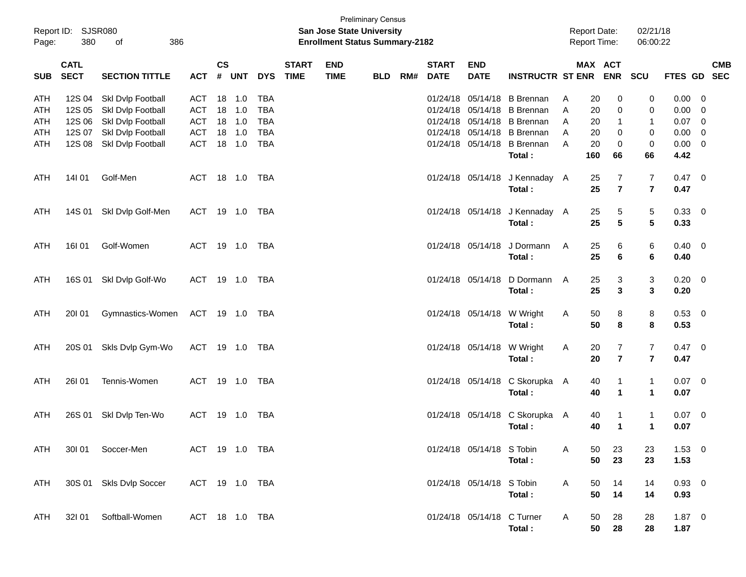| Page:      | Report ID: SJSR080<br>380  | 386<br>of               |                |                    |            |            |                             | San Jose State University<br><b>Enrollment Status Summary-2182</b> | <b>Preliminary Census</b> |     |                             |                            |                                | <b>Report Date:</b><br>Report Time: |                       |                 | 02/21/18<br>06:00:22    |                |                          |                          |
|------------|----------------------------|-------------------------|----------------|--------------------|------------|------------|-----------------------------|--------------------------------------------------------------------|---------------------------|-----|-----------------------------|----------------------------|--------------------------------|-------------------------------------|-----------------------|-----------------|-------------------------|----------------|--------------------------|--------------------------|
| <b>SUB</b> | <b>CATL</b><br><b>SECT</b> | <b>SECTION TITTLE</b>   | <b>ACT</b>     | $\mathsf{cs}$<br># | <b>UNT</b> | <b>DYS</b> | <b>START</b><br><b>TIME</b> | <b>END</b><br><b>TIME</b>                                          | <b>BLD</b>                | RM# | <b>START</b><br><b>DATE</b> | <b>END</b><br><b>DATE</b>  | <b>INSTRUCTR ST ENR</b>        |                                     | MAX ACT<br><b>ENR</b> |                 | SCU                     | <b>FTES GD</b> |                          | <b>CMB</b><br><b>SEC</b> |
| ATH        | 12S 04                     | Skl Dvlp Football       | ACT            | 18                 | 1.0        | <b>TBA</b> |                             |                                                                    |                           |     | 01/24/18                    |                            | 05/14/18 B Brennan             | A                                   | 20                    | 0               | 0                       | 0.00           | - 0                      |                          |
| <b>ATH</b> | 12S 05                     | Skl Dvlp Football       | ACT            | 18                 | 1.0        | <b>TBA</b> |                             |                                                                    |                           |     |                             |                            | 01/24/18 05/14/18 B Brennan    | A                                   | 20                    | 0               | 0                       | 0.00           | 0                        |                          |
| <b>ATH</b> | 12S 06                     | Skl Dvlp Football       | <b>ACT</b>     | 18                 | 1.0        | <b>TBA</b> |                             |                                                                    |                           |     |                             |                            | 01/24/18 05/14/18 B Brennan    | A                                   | 20                    | $\mathbf{1}$    | $\mathbf{1}$            | 0.07           | $\overline{\mathbf{0}}$  |                          |
| ATH        | 12S 07                     | Skl Dvlp Football       | <b>ACT</b>     | 18                 | 1.0        | <b>TBA</b> |                             |                                                                    |                           |     |                             |                            | 01/24/18 05/14/18 B Brennan    | A                                   | 20                    | 0               | 0                       | 0.00           | $\overline{0}$           |                          |
| ATH        | 12S 08                     | Skl Dvlp Football       | <b>ACT</b>     |                    | 18 1.0     | <b>TBA</b> |                             |                                                                    |                           |     |                             |                            | 01/24/18 05/14/18 B Brennan    | A                                   | 20                    | 0               | 0                       | 0.00           | $\overline{\mathbf{0}}$  |                          |
|            |                            |                         |                |                    |            |            |                             |                                                                    |                           |     |                             |                            | Total:                         | 160                                 |                       | 66              | 66                      | 4.42           |                          |                          |
| ATH        | 14101                      | Golf-Men                | <b>ACT</b>     |                    | 18 1.0     | TBA        |                             |                                                                    |                           |     |                             |                            | 01/24/18 05/14/18 J Kennaday A |                                     | 25                    | 7               | 7                       | 0.47           | $\overline{\phantom{0}}$ |                          |
|            |                            |                         |                |                    |            |            |                             |                                                                    |                           |     |                             |                            | Total:                         |                                     | 25                    | $\overline{7}$  | $\overline{\mathbf{r}}$ | 0.47           |                          |                          |
| ATH        | 14S 01                     | Skl Dvlp Golf-Men       | <b>ACT</b>     |                    | 19 1.0     | TBA        |                             |                                                                    |                           |     |                             |                            | 01/24/18 05/14/18 J Kennaday A |                                     | 25                    | 5               | 5                       | 0.33           | $\overline{\phantom{0}}$ |                          |
|            |                            |                         |                |                    |            |            |                             |                                                                    |                           |     |                             |                            | Total:                         |                                     | 25                    | $5\phantom{.0}$ | 5                       | 0.33           |                          |                          |
| ATH        | 16101                      | Golf-Women              | <b>ACT</b>     |                    | 19 1.0     | TBA        |                             |                                                                    |                           |     |                             | 01/24/18 05/14/18          | J Dormann                      | A                                   | 25                    | 6               | 6                       | 0.40           | $\overline{\phantom{0}}$ |                          |
|            |                            |                         |                |                    |            |            |                             |                                                                    |                           |     |                             |                            | Total:                         |                                     | 25                    | 6               | 6                       | 0.40           |                          |                          |
| ATH        |                            | 16S 01 SkI Dvlp Golf-Wo | ACT            |                    | 19 1.0     | TBA        |                             |                                                                    |                           |     |                             | 01/24/18 05/14/18          | D Dormann                      | A                                   | 25                    | 3               | 3                       | 0.20           | $\overline{\phantom{0}}$ |                          |
|            |                            |                         |                |                    |            |            |                             |                                                                    |                           |     |                             |                            | Total:                         |                                     | 25                    | 3               | 3                       | 0.20           |                          |                          |
|            |                            |                         |                |                    |            |            |                             |                                                                    |                           |     |                             |                            |                                |                                     |                       |                 |                         |                |                          |                          |
| ATH        | 20101                      | Gymnastics-Women        | ACT 19 1.0     |                    |            | TBA        |                             |                                                                    |                           |     |                             |                            | 01/24/18 05/14/18 W Wright     | A                                   | 50<br>50              | 8<br>8          | 8                       | 0.53<br>0.53   | $\overline{\phantom{0}}$ |                          |
|            |                            |                         |                |                    |            |            |                             |                                                                    |                           |     |                             |                            | Total:                         |                                     |                       |                 | 8                       |                |                          |                          |
| ATH        |                            | 20S 01 Skls Dvlp Gym-Wo | ACT            |                    | 19 1.0     | TBA        |                             |                                                                    |                           |     |                             |                            | 01/24/18 05/14/18 W Wright     | A                                   | 20                    | 7               | 7                       | $0.47 \ 0$     |                          |                          |
|            |                            |                         |                |                    |            |            |                             |                                                                    |                           |     |                             |                            | Total:                         |                                     | 20                    | $\overline{7}$  | $\overline{\mathbf{r}}$ | 0.47           |                          |                          |
| ATH        | <b>26101</b>               | Tennis-Women            | <b>ACT</b>     |                    | 19 1.0     | TBA        |                             |                                                                    |                           |     |                             |                            | 01/24/18 05/14/18 C Skorupka A |                                     | 40                    | $\mathbf 1$     | 1                       | $0.07$ 0       |                          |                          |
|            |                            |                         |                |                    |            |            |                             |                                                                    |                           |     |                             |                            | Total:                         |                                     | 40                    | $\mathbf{1}$    | $\mathbf 1$             | 0.07           |                          |                          |
|            |                            |                         |                |                    |            |            |                             |                                                                    |                           |     |                             |                            |                                |                                     |                       |                 |                         |                |                          |                          |
| ATH        | 26S 01                     | Skl Dvlp Ten-Wo         | ACT            |                    | 19 1.0     | TBA        |                             |                                                                    |                           |     |                             |                            | 01/24/18 05/14/18 C Skorupka A |                                     | 40                    | $\mathbf 1$     | 1                       | $0.07$ 0       |                          |                          |
|            |                            |                         |                |                    |            |            |                             |                                                                    |                           |     |                             |                            | Total:                         |                                     | 40                    | $\mathbf{1}$    | $\mathbf 1$             | 0.07           |                          |                          |
| ATH        |                            | 301 01 Soccer-Men       | ACT 19 1.0 TBA |                    |            |            |                             |                                                                    |                           |     |                             | 01/24/18 05/14/18 S Tobin  |                                | A                                   | 50                    | 23              | 23                      | $1.53 \t 0$    |                          |                          |
|            |                            |                         |                |                    |            |            |                             |                                                                    |                           |     |                             |                            | Total:                         |                                     | 50                    | 23              | 23                      | 1.53           |                          |                          |
| ATH.       |                            | 30S 01 Skls Dvlp Soccer | ACT 19 1.0 TBA |                    |            |            |                             |                                                                    |                           |     |                             | 01/24/18 05/14/18 S Tobin  |                                | A                                   | 50                    | 14              | 14                      | $0.93$ 0       |                          |                          |
|            |                            |                         |                |                    |            |            |                             |                                                                    |                           |     |                             |                            | Total:                         |                                     | 50<br>14              |                 | 14                      | 0.93           |                          |                          |
|            |                            |                         |                |                    |            |            |                             |                                                                    |                           |     |                             |                            |                                |                                     |                       |                 |                         |                |                          |                          |
| ATH        |                            | 32I 01 Softball-Women   | ACT 18 1.0 TBA |                    |            |            |                             |                                                                    |                           |     |                             | 01/24/18 05/14/18 C Turner |                                | A                                   | 50                    | 28              | 28                      | $1.87 \t 0$    |                          |                          |
|            |                            |                         |                |                    |            |            |                             |                                                                    |                           |     |                             |                            | Total:                         |                                     | 50                    | 28              | 28                      | 1.87           |                          |                          |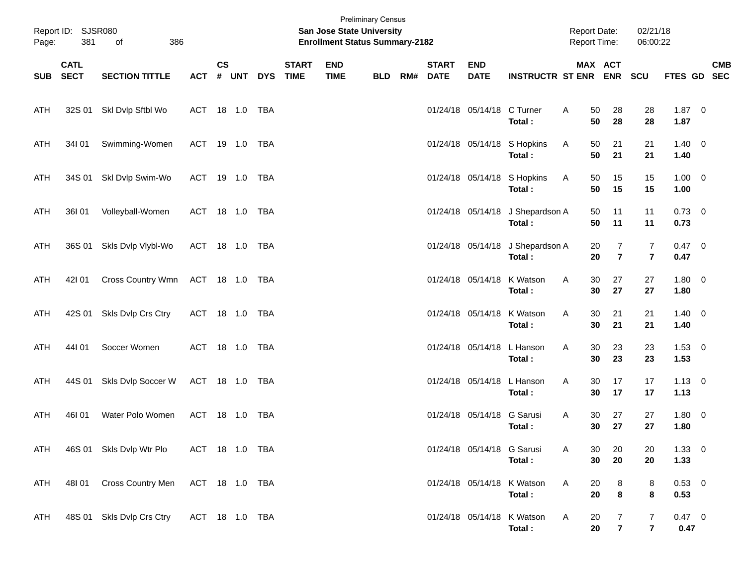| Page:      | Report ID: SJSR080<br>381  | of<br>386                 |                |               |       |            |                             | <b>Preliminary Census</b><br>San Jose State University<br><b>Enrollment Status Summary-2182</b> |            |     |                             |                            |                                       | <b>Report Date:</b><br>Report Time: |                     | 02/21/18<br>06:00:22         |                        |            |
|------------|----------------------------|---------------------------|----------------|---------------|-------|------------|-----------------------------|-------------------------------------------------------------------------------------------------|------------|-----|-----------------------------|----------------------------|---------------------------------------|-------------------------------------|---------------------|------------------------------|------------------------|------------|
| SUB        | <b>CATL</b><br><b>SECT</b> | <b>SECTION TITTLE</b>     | <b>ACT</b>     | $\mathsf{cs}$ | # UNT | <b>DYS</b> | <b>START</b><br><b>TIME</b> | <b>END</b><br><b>TIME</b>                                                                       | <b>BLD</b> | RM# | <b>START</b><br><b>DATE</b> | <b>END</b><br><b>DATE</b>  | <b>INSTRUCTR ST ENR ENR</b>           | MAX ACT                             |                     | SCU                          | FTES GD SEC            | <b>CMB</b> |
| ATH        |                            | 32S 01 SkI Dvlp Sftbl Wo  | ACT 18 1.0 TBA |               |       |            |                             |                                                                                                 |            |     |                             | 01/24/18 05/14/18 C Turner | Total:                                | A<br>50<br>50                       | 28<br>28            | 28<br>28                     | $1.87 \t 0$<br>1.87    |            |
| ATH        | 34101                      | Swimming-Women            | ACT 19 1.0 TBA |               |       |            |                             |                                                                                                 |            |     |                             |                            | 01/24/18 05/14/18 S Hopkins<br>Total: | 50<br>A<br>50                       | 21<br>21            | 21<br>21                     | $1.40 \ 0$<br>1.40     |            |
| ATH        | 34S 01                     | Skl Dvlp Swim-Wo          | ACT 19 1.0 TBA |               |       |            |                             |                                                                                                 |            |     |                             |                            | 01/24/18 05/14/18 S Hopkins<br>Total: | 50<br>A<br>50                       | 15<br>15            | 15<br>15                     | $1.00 \t 0$<br>1.00    |            |
| ATH        | 36I 01                     | Volleyball-Women          | ACT 18 1.0 TBA |               |       |            |                             |                                                                                                 |            |     |                             | 01/24/18 05/14/18          | J Shepardson A<br>Total:              | 50<br>50                            | 11<br>11            | 11<br>11                     | $0.73 \quad 0$<br>0.73 |            |
| ATH        | 36S 01                     | Skls Dvlp Vlybl-Wo        | ACT 18 1.0 TBA |               |       |            |                             |                                                                                                 |            |     |                             | 01/24/18 05/14/18          | J Shepardson A<br>Total:              | 20<br>20                            | 7<br>$\overline{7}$ | 7<br>$\overline{\mathbf{r}}$ | $0.47 \ 0$<br>0.47     |            |
| ATH        | 42101                      | Cross Country Wmn         | ACT 18 1.0 TBA |               |       |            |                             |                                                                                                 |            |     |                             | 01/24/18 05/14/18          | K Watson<br>Total:                    | A<br>30<br>30                       | 27<br>27            | 27<br>27                     | $1.80 \ 0$<br>1.80     |            |
| ATH        | 42S 01                     | Skls Dvlp Crs Ctry        | ACT 18 1.0 TBA |               |       |            |                             |                                                                                                 |            |     |                             | 01/24/18 05/14/18          | K Watson<br>Total:                    | A<br>30<br>30                       | 21<br>21            | 21<br>21                     | $1.40 \ 0$<br>1.40     |            |
| ATH        | 44101                      | Soccer Women              | ACT 18 1.0 TBA |               |       |            |                             |                                                                                                 |            |     |                             | 01/24/18 05/14/18          | L Hanson<br>Total:                    | A<br>30<br>30                       | 23<br>23            | 23<br>23                     | $1.53 \t 0$<br>1.53    |            |
| ATH        | 44S 01                     | Skls Dvlp Soccer W        | ACT 18 1.0 TBA |               |       |            |                             |                                                                                                 |            |     |                             | 01/24/18 05/14/18          | L Hanson<br>Total:                    | A<br>30<br>30                       | 17<br>17            | 17<br>17                     | $1.13 \ 0$<br>1.13     |            |
| <b>ATH</b> | 46I 01                     | Water Polo Women          | ACT            |               |       | TBA        |                             |                                                                                                 |            |     |                             | 01/24/18 05/14/18          | G Sarusi<br>Total:                    | 30<br>A<br>30                       | 27<br>27            | 27<br>27                     | 1.80 0<br>1.80         |            |
| ATH        |                            | 46S 01 Skls Dvlp Wtr Plo  | ACT 18 1.0 TBA |               |       |            |                             |                                                                                                 |            |     |                             | 01/24/18 05/14/18 G Sarusi | Total:                                | Α<br>30<br>30                       | 20<br>20            | 20<br>20                     | $1.33 \ 0$<br>1.33     |            |
| <b>ATH</b> | 48I 01                     | Cross Country Men         | ACT 18 1.0 TBA |               |       |            |                             |                                                                                                 |            |     |                             |                            | 01/24/18 05/14/18 K Watson<br>Total:  | Α<br>20<br>20                       | 8<br>8              | 8<br>8                       | 0.53 0<br>0.53         |            |
| ATH        |                            | 48S 01 Skls Dvlp Crs Ctry | ACT 18 1.0 TBA |               |       |            |                             |                                                                                                 |            |     |                             |                            | 01/24/18 05/14/18 K Watson<br>Total:  | A<br>20<br>20                       | 7<br>$\overline{7}$ | 7<br>$\overline{\mathbf{r}}$ | $0.47 \ 0$<br>0.47     |            |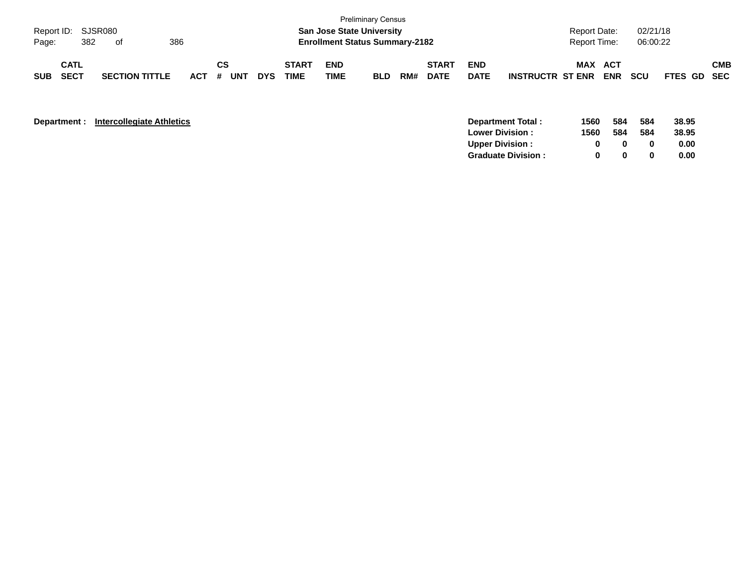| Page:      | Report ID: SJSR080<br>382  | of                    | 386 |               |     |            |                             | <b>San Jose State University</b><br><b>Enrollment Status Summary-2182</b> | <b>Preliminary Census</b> |     |                             |                           |                         | <b>Report Date:</b><br><b>Report Time:</b> |                   | 02/21/18<br>06:00:22 |             |     |
|------------|----------------------------|-----------------------|-----|---------------|-----|------------|-----------------------------|---------------------------------------------------------------------------|---------------------------|-----|-----------------------------|---------------------------|-------------------------|--------------------------------------------|-------------------|----------------------|-------------|-----|
| <b>SUB</b> | <b>CATL</b><br><b>SECT</b> | <b>SECTION TITTLE</b> |     | СS<br>$ACT$ # | UNT | <b>DYS</b> | <b>START</b><br><b>TIME</b> | <b>END</b><br>TIME                                                        | <b>BLD</b>                | RM# | <b>START</b><br><b>DATE</b> | <b>END</b><br><b>DATE</b> | <b>INSTRUCTR ST ENR</b> | <b>MAX</b>                                 | ACT<br><b>ENR</b> | <b>SCU</b>           | FTES GD SEC | СМВ |

| Department : | Intercollegiate Athletics |
|--------------|---------------------------|
|--------------|---------------------------|

| <b>Department:</b> | <b>Intercollegiate Athletics</b> | Department Total:          | 1560 | 584 | 584 | 38.95 |
|--------------------|----------------------------------|----------------------------|------|-----|-----|-------|
|                    |                                  | <b>Lower Division:</b>     | 1560 | 584 | 584 | 38.95 |
|                    |                                  | <b>Upper Division:</b>     |      |     |     | 0.00  |
|                    |                                  | <b>Graduate Division :</b> |      |     |     | 0.00  |
|                    |                                  |                            |      |     |     |       |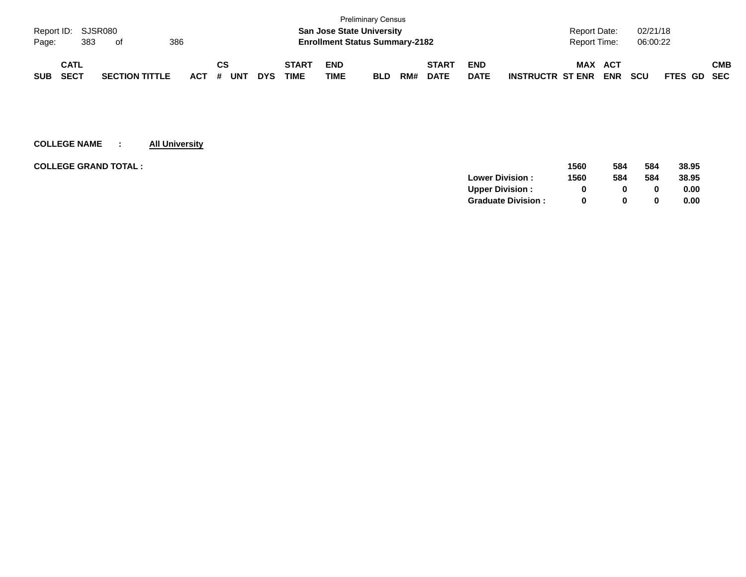|                    |             |     |                       |     |     |    |     |            |              |             | <b>Preliminary Census</b>             |     |              |             |                         |            |            |             |     |
|--------------------|-------------|-----|-----------------------|-----|-----|----|-----|------------|--------------|-------------|---------------------------------------|-----|--------------|-------------|-------------------------|------------|------------|-------------|-----|
| Report ID: SJSR080 |             |     |                       |     |     |    |     |            |              |             | <b>San Jose State University</b>      |     |              |             | <b>Report Date:</b>     |            | 02/21/18   |             |     |
| Page:              |             | 383 | of                    | 386 |     |    |     |            |              |             | <b>Enrollment Status Summary-2182</b> |     |              |             | <b>Report Time:</b>     |            | 06:00:22   |             |     |
|                    |             |     |                       |     |     |    |     |            |              |             |                                       |     |              |             |                         |            |            |             |     |
|                    | <b>CATL</b> |     |                       |     |     | СS |     |            | <b>START</b> | <b>END</b>  |                                       |     | <b>START</b> | <b>END</b>  | MAX                     | ACT        |            |             | СМВ |
| <b>SUB</b>         | <b>SECT</b> |     | <b>SECTION TITTLE</b> |     | ACT | #  | UN™ | <b>DYS</b> | TIME         | <b>TIME</b> | <b>BLD</b>                            | RM# | <b>DATE</b>  | <b>DATE</b> | <b>INSTRUCTR ST ENR</b> | <b>ENR</b> | <b>SCU</b> | FTES GD SEC |     |

| <b>COLLEGE GRAND TOTAL :</b> | 1560                           | 584          | 584 | 38.95 |
|------------------------------|--------------------------------|--------------|-----|-------|
|                              | 1560<br><b>Lower Division:</b> | 584          | 584 | 38.95 |
|                              | <b>Upper Division:</b>         | 0            |     | 0.00  |
|                              | <b>Graduate Division:</b><br>0 | <sup>0</sup> |     | 0.00  |
|                              |                                |              |     |       |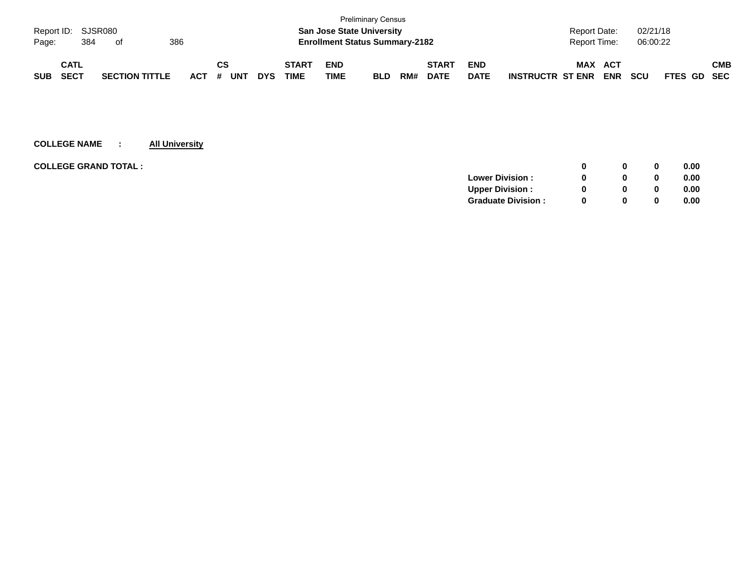|            |                    |     |                       |     |     |    |            |            |              |                                       | <b>Preliminary Census</b> |     |              |             |                         |                     |            |            |             |     |
|------------|--------------------|-----|-----------------------|-----|-----|----|------------|------------|--------------|---------------------------------------|---------------------------|-----|--------------|-------------|-------------------------|---------------------|------------|------------|-------------|-----|
|            | Report ID: SJSR080 |     |                       |     |     |    |            |            |              | <b>San Jose State University</b>      |                           |     |              |             |                         | <b>Report Date:</b> |            | 02/21/18   |             |     |
| Page:      |                    | 384 | of                    | 386 |     |    |            |            |              | <b>Enrollment Status Summary-2182</b> |                           |     |              |             |                         | <b>Report Time:</b> |            | 06:00:22   |             |     |
|            |                    |     |                       |     |     |    |            |            |              |                                       |                           |     |              |             |                         |                     |            |            |             |     |
|            | <b>CATL</b>        |     |                       |     |     | СS |            |            | <b>START</b> | <b>END</b>                            |                           |     | <b>START</b> | <b>END</b>  |                         | <b>MAX</b>          | <b>ACT</b> |            |             | СМВ |
| <b>SUB</b> | <b>SECT</b>        |     | <b>SECTION TITTLE</b> |     | ACT | #  | <b>UNT</b> | <b>DYS</b> | TIME         | TIME                                  | <b>BLD</b>                | RM# | <b>DATE</b>  | <b>DATE</b> | <b>INSTRUCTR ST ENR</b> |                     | <b>ENR</b> | <b>SCU</b> | FTES GD SEC |     |

| <b>COLLEGE GRAND TOTAL :</b> |                           | 0            | 0        | 0.00 |
|------------------------------|---------------------------|--------------|----------|------|
|                              | <b>Lower Division:</b>    | 0            | 0        | 0.00 |
|                              | <b>Upper Division:</b>    | 0            | 0        | 0.00 |
|                              | <b>Graduate Division:</b> | <sup>0</sup> | $\bf{0}$ | 0.00 |
|                              |                           |              |          |      |